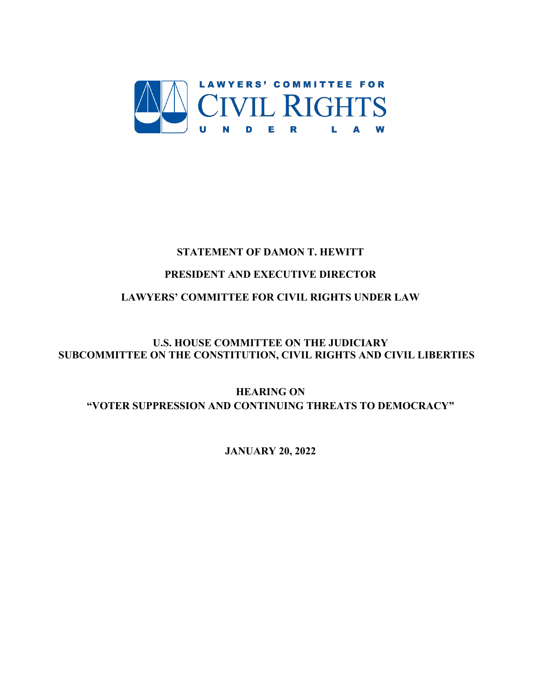

# **STATEMENT OF DAMON T. HEWITT**

# **PRESIDENT AND EXECUTIVE DIRECTOR**

# **LAWYERS' COMMITTEE FOR CIVIL RIGHTS UNDER LAW**

# **U.S. HOUSE COMMITTEE ON THE JUDICIARY SUBCOMMITTEE ON THE CONSTITUTION, CIVIL RIGHTS AND CIVIL LIBERTIES**

# **HEARING ON "VOTER SUPPRESSION AND CONTINUING THREATS TO DEMOCRACY"**

# **JANUARY 20, 2022**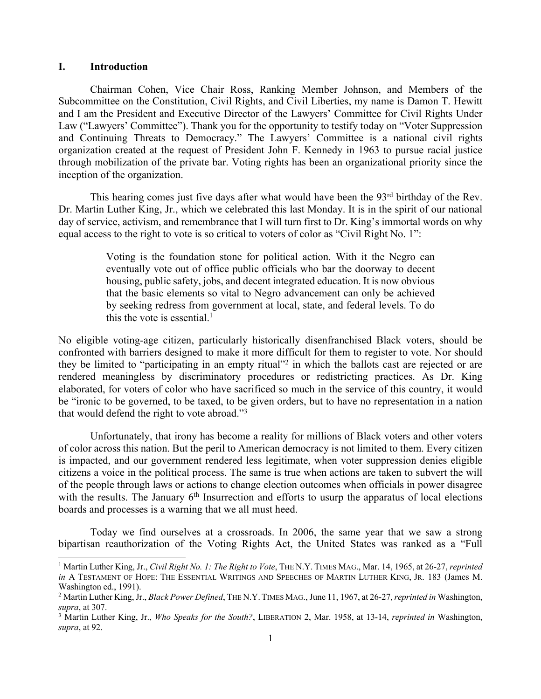### **I. Introduction**

Chairman Cohen, Vice Chair Ross, Ranking Member Johnson, and Members of the Subcommittee on the Constitution, Civil Rights, and Civil Liberties, my name is Damon T. Hewitt and I am the President and Executive Director of the Lawyers' Committee for Civil Rights Under Law ("Lawyers' Committee"). Thank you for the opportunity to testify today on "Voter Suppression and Continuing Threats to Democracy." The Lawyers' Committee is a national civil rights organization created at the request of President John F. Kennedy in 1963 to pursue racial justice through mobilization of the private bar. Voting rights has been an organizational priority since the inception of the organization.

This hearing comes just five days after what would have been the 93<sup>rd</sup> birthday of the Rev. Dr. Martin Luther King, Jr., which we celebrated this last Monday. It is in the spirit of our national day of service, activism, and remembrance that I will turn first to Dr. King's immortal words on why equal access to the right to vote is so critical to voters of color as "Civil Right No. 1":

> Voting is the foundation stone for political action. With it the Negro can eventually vote out of office public officials who bar the doorway to decent housing, public safety, jobs, and decent integrated education. It is now obvious that the basic elements so vital to Negro advancement can only be achieved by seeking redress from government at local, state, and federal levels. To do this the vote is essential.<sup>1</sup>

No eligible voting-age citizen, particularly historically disenfranchised Black voters, should be confronted with barriers designed to make it more difficult for them to register to vote. Nor should they be limited to "participating in an empty ritual"2 in which the ballots cast are rejected or are rendered meaningless by discriminatory procedures or redistricting practices. As Dr. King elaborated, for voters of color who have sacrificed so much in the service of this country, it would be "ironic to be governed, to be taxed, to be given orders, but to have no representation in a nation that would defend the right to vote abroad."3

Unfortunately, that irony has become a reality for millions of Black voters and other voters of color across this nation. But the peril to American democracy is not limited to them. Every citizen is impacted, and our government rendered less legitimate, when voter suppression denies eligible citizens a voice in the political process. The same is true when actions are taken to subvert the will of the people through laws or actions to change election outcomes when officials in power disagree with the results. The January 6<sup>th</sup> Insurrection and efforts to usurp the apparatus of local elections boards and processes is a warning that we all must heed.

Today we find ourselves at a crossroads. In 2006, the same year that we saw a strong bipartisan reauthorization of the Voting Rights Act, the United States was ranked as a "Full

<sup>1</sup> Martin Luther King, Jr., *Civil Right No. 1: The Right to Vote*, THE N.Y. TIMES MAG., Mar. 14, 1965, at 26-27, *reprinted in* A TESTAMENT OF HOPE: THE ESSENTIAL WRITINGS AND SPEECHES OF MARTIN LUTHER KING, JR. 183 (James M. Washington ed., 1991).

<sup>2</sup> Martin Luther King, Jr., *Black Power Defined*, THE N.Y.TIMES MAG., June 11, 1967, at 26-27, *reprinted in* Washington, *supra*, at 307.

<sup>3</sup> Martin Luther King, Jr., *Who Speaks for the South?*, LIBERATION 2, Mar. 1958, at 13-14, *reprinted in* Washington, *supra*, at 92.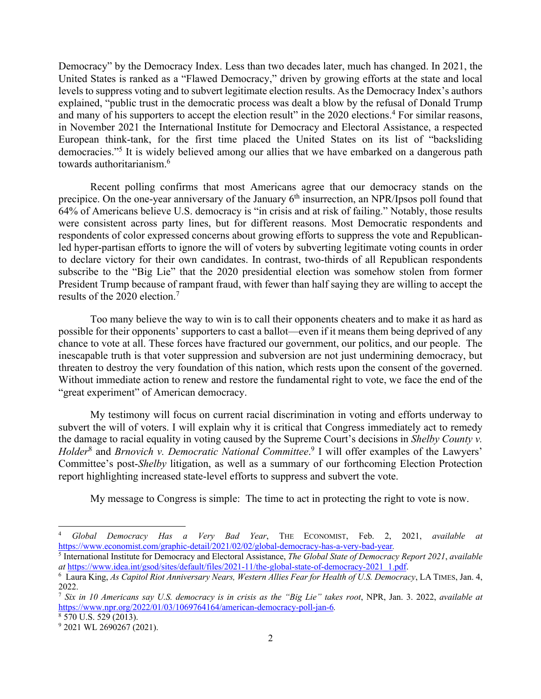Democracy" by the Democracy Index. Less than two decades later, much has changed. In 2021, the United States is ranked as a "Flawed Democracy," driven by growing efforts at the state and local levels to suppress voting and to subvert legitimate election results. As the Democracy Index's authors explained, "public trust in the democratic process was dealt a blow by the refusal of Donald Trump and many of his supporters to accept the election result" in the 2020 elections.<sup>4</sup> For similar reasons, in November 2021 the International Institute for Democracy and Electoral Assistance, a respected European think-tank, for the first time placed the United States on its list of "backsliding democracies."5 It is widely believed among our allies that we have embarked on a dangerous path towards authoritarianism.6

Recent polling confirms that most Americans agree that our democracy stands on the precipice. On the one-year anniversary of the January 6<sup>th</sup> insurrection, an NPR/Ipsos poll found that 64% of Americans believe U.S. democracy is "in crisis and at risk of failing." Notably, those results were consistent across party lines, but for different reasons. Most Democratic respondents and respondents of color expressed concerns about growing efforts to suppress the vote and Republicanled hyper-partisan efforts to ignore the will of voters by subverting legitimate voting counts in order to declare victory for their own candidates. In contrast, two-thirds of all Republican respondents subscribe to the "Big Lie" that the 2020 presidential election was somehow stolen from former President Trump because of rampant fraud, with fewer than half saying they are willing to accept the results of the 2020 election. 7

Too many believe the way to win is to call their opponents cheaters and to make it as hard as possible for their opponents' supporters to cast a ballot—even if it means them being deprived of any chance to vote at all. These forces have fractured our government, our politics, and our people. The inescapable truth is that voter suppression and subversion are not just undermining democracy, but threaten to destroy the very foundation of this nation, which rests upon the consent of the governed. Without immediate action to renew and restore the fundamental right to vote, we face the end of the "great experiment" of American democracy.

My testimony will focus on current racial discrimination in voting and efforts underway to subvert the will of voters. I will explain why it is critical that Congress immediately act to remedy the damage to racial equality in voting caused by the Supreme Court's decisions in *Shelby County v. Holder*<sup>8</sup> and *Brnovich v. Democratic National Committee*. <sup>9</sup> I will offer examples of the Lawyers' Committee's post-*Shelby* litigation, as well as a summary of our forthcoming Election Protection report highlighting increased state-level efforts to suppress and subvert the vote.

My message to Congress is simple: The time to act in protecting the right to vote is now.

<sup>4</sup> *Global Democracy Has a Very Bad Year*, THE ECONOMIST, Feb. 2, 2021, *available at*  https://www.economist.com/graphic-detail/2021/02/02/global-democracy-has-a-very-bad-year*.* 

<sup>5</sup> International Institute for Democracy and Electoral Assistance, *The Global State of Democracy Report 2021*, *available at* https://www.idea.int/gsod/sites/default/files/2021-11/the-global-state-of-democracy-2021\_1.pdf. 6

Laura King, *As Capitol Riot Anniversary Nears, Western Allies Fear for Health of U.S. Democracy*, LA TIMES, Jan. 4, 2022.

<sup>7</sup> *Six in 10 Americans say U.S. democracy is in crisis as the "Big Lie" takes root*, NPR, Jan. 3. 2022, *available at*  https://www.npr.org/2022/01/03/1069764164/american-democracy-poll-jan-6*.* 

 $8\,570\,$  U.S. 529 (2013).

<sup>&</sup>lt;sup>9</sup> 2021 WL 2690267 (2021).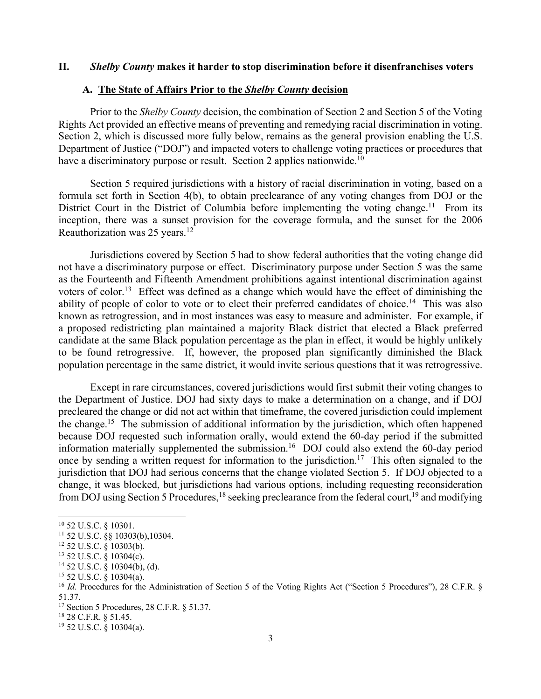#### **II.** *Shelby County* **makes it harder to stop discrimination before it disenfranchises voters**

### **A. The State of Affairs Prior to the** *Shelby County* **decision**

Prior to the *Shelby County* decision, the combination of Section 2 and Section 5 of the Voting Rights Act provided an effective means of preventing and remedying racial discrimination in voting. Section 2, which is discussed more fully below, remains as the general provision enabling the U.S. Department of Justice ("DOJ") and impacted voters to challenge voting practices or procedures that have a discriminatory purpose or result. Section 2 applies nationwide.<sup>10</sup>

Section 5 required jurisdictions with a history of racial discrimination in voting, based on a formula set forth in Section 4(b), to obtain preclearance of any voting changes from DOJ or the District Court in the District of Columbia before implementing the voting change.<sup>11</sup> From its inception, there was a sunset provision for the coverage formula, and the sunset for the 2006 Reauthorization was 25 years.<sup>12</sup>

Jurisdictions covered by Section 5 had to show federal authorities that the voting change did not have a discriminatory purpose or effect. Discriminatory purpose under Section 5 was the same as the Fourteenth and Fifteenth Amendment prohibitions against intentional discrimination against voters of color.<sup>13</sup> Effect was defined as a change which would have the effect of diminishing the ability of people of color to vote or to elect their preferred candidates of choice.<sup>14</sup> This was also known as retrogression, and in most instances was easy to measure and administer. For example, if a proposed redistricting plan maintained a majority Black district that elected a Black preferred candidate at the same Black population percentage as the plan in effect, it would be highly unlikely to be found retrogressive. If, however, the proposed plan significantly diminished the Black population percentage in the same district, it would invite serious questions that it was retrogressive.

Except in rare circumstances, covered jurisdictions would first submit their voting changes to the Department of Justice. DOJ had sixty days to make a determination on a change, and if DOJ precleared the change or did not act within that timeframe, the covered jurisdiction could implement the change.15 The submission of additional information by the jurisdiction, which often happened because DOJ requested such information orally, would extend the 60-day period if the submitted information materially supplemented the submission.16 DOJ could also extend the 60-day period once by sending a written request for information to the jurisdiction.<sup>17</sup> This often signaled to the jurisdiction that DOJ had serious concerns that the change violated Section 5. If DOJ objected to a change, it was blocked, but jurisdictions had various options, including requesting reconsideration from DOJ using Section 5 Procedures, <sup>18</sup> seeking preclearance from the federal court, <sup>19</sup> and modifying

<sup>10</sup> 52 U.S.C. § 10301.

 $11$  52 U.S.C.  $\&$  10303(b), 10304.

 $12$  52 U.S.C. § 10303(b).

<sup>13</sup> 52 U.S.C. § 10304(c).

 $14$  52 U.S.C. § 10304(b), (d).

 $15$  52 U.S.C. § 10304(a).

<sup>&</sup>lt;sup>16</sup> *Id.* Procedures for the Administration of Section 5 of the Voting Rights Act ("Section 5 Procedures"), 28 C.F.R. § 51.37.

<sup>17</sup> Section 5 Procedures, 28 C.F.R. § 51.37.

<sup>18</sup> 28 C.F.R. § 51.45.

 $19$  52 U.S.C. § 10304(a).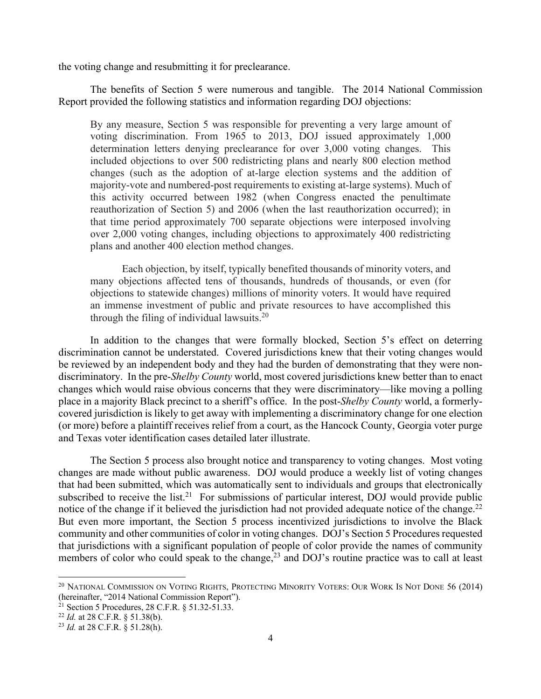the voting change and resubmitting it for preclearance.

The benefits of Section 5 were numerous and tangible. The 2014 National Commission Report provided the following statistics and information regarding DOJ objections:

By any measure, Section 5 was responsible for preventing a very large amount of voting discrimination. From 1965 to 2013, DOJ issued approximately 1,000 determination letters denying preclearance for over 3,000 voting changes. This included objections to over 500 redistricting plans and nearly 800 election method changes (such as the adoption of at-large election systems and the addition of majority-vote and numbered-post requirements to existing at-large systems). Much of this activity occurred between 1982 (when Congress enacted the penultimate reauthorization of Section 5) and 2006 (when the last reauthorization occurred); in that time period approximately 700 separate objections were interposed involving over 2,000 voting changes, including objections to approximately 400 redistricting plans and another 400 election method changes.

Each objection, by itself, typically benefited thousands of minority voters, and many objections affected tens of thousands, hundreds of thousands, or even (for objections to statewide changes) millions of minority voters. It would have required an immense investment of public and private resources to have accomplished this through the filing of individual lawsuits. $20$ 

In addition to the changes that were formally blocked, Section 5's effect on deterring discrimination cannot be understated. Covered jurisdictions knew that their voting changes would be reviewed by an independent body and they had the burden of demonstrating that they were nondiscriminatory. In the pre-*Shelby County* world, most covered jurisdictions knew better than to enact changes which would raise obvious concerns that they were discriminatory—like moving a polling place in a majority Black precinct to a sheriff's office. In the post-*Shelby County* world, a formerlycovered jurisdiction is likely to get away with implementing a discriminatory change for one election (or more) before a plaintiff receives relief from a court, as the Hancock County, Georgia voter purge and Texas voter identification cases detailed later illustrate.

The Section 5 process also brought notice and transparency to voting changes. Most voting changes are made without public awareness. DOJ would produce a weekly list of voting changes that had been submitted, which was automatically sent to individuals and groups that electronically subscribed to receive the list.<sup>21</sup> For submissions of particular interest, DOJ would provide public notice of the change if it believed the jurisdiction had not provided adequate notice of the change.<sup>22</sup> But even more important, the Section 5 process incentivized jurisdictions to involve the Black community and other communities of color in voting changes. DOJ's Section 5 Procedures requested that jurisdictions with a significant population of people of color provide the names of community members of color who could speak to the change,  $23$  and DOJ's routine practice was to call at least

<sup>&</sup>lt;sup>20</sup> NATIONAL COMMISSION ON VOTING RIGHTS, PROTECTING MINORITY VOTERS: OUR WORK IS NOT DONE 56 (2014) (hereinafter, "2014 National Commission Report").

<sup>21</sup> Section 5 Procedures, 28 C.F.R. § 51.32-51.33.

<sup>22</sup> *Id.* at 28 C.F.R. § 51.38(b).

<sup>23</sup> *Id.* at 28 C.F.R. § 51.28(h).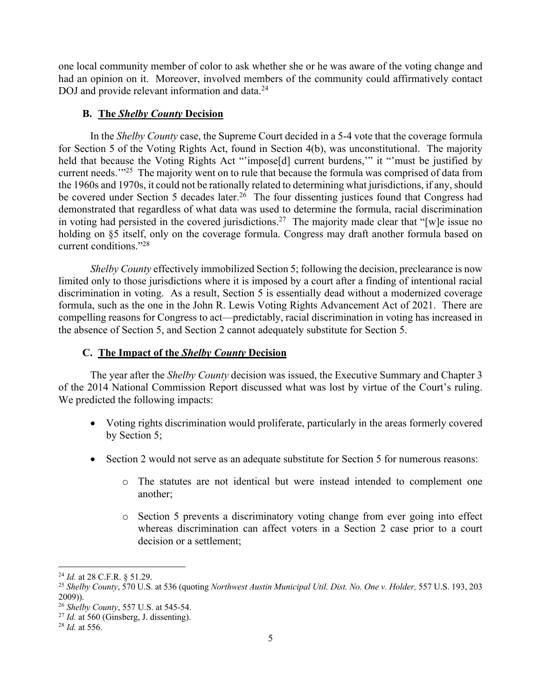one local community member of color to ask whether she or he was aware of the voting change and had an opinion on it. Moreover, involved members of the community could affirmatively contact DOJ and provide relevant information and data.<sup>24</sup>

## **B. The** *Shelby County* **Decision**

In the *Shelby County* case, the Supreme Court decided in a 5-4 vote that the coverage formula for Section 5 of the Voting Rights Act, found in Section 4(b), was unconstitutional. The majority held that because the Voting Rights Act "'impose<sup>[d]</sup> current burdens," it "'must be justified by current needs.<sup>'"25</sup> The majority went on to rule that because the formula was comprised of data from the 1960s and 1970s, it could not be rationally related to determining what jurisdictions, if any, should be covered under Section 5 decades later.<sup>26</sup> The four dissenting justices found that Congress had demonstrated that regardless of what data was used to determine the formula, racial discrimination in voting had persisted in the covered jurisdictions.<sup>27</sup> The majority made clear that "[w]e issue no holding on §5 itself, only on the coverage formula. Congress may draft another formula based on current conditions."28

*Shelby County* effectively immobilized Section 5; following the decision, preclearance is now limited only to those jurisdictions where it is imposed by a court after a finding of intentional racial discrimination in voting. As a result, Section 5 is essentially dead without a modernized coverage formula, such as the one in the John R. Lewis Voting Rights Advancement Act of 2021. There are compelling reasons for Congress to act—predictably, racial discrimination in voting has increased in the absence of Section 5, and Section 2 cannot adequately substitute for Section 5.

## **C. The Impact of the** *Shelby County* **Decision**

The year after the *Shelby County* decision was issued, the Executive Summary and Chapter 3 of the 2014 National Commission Report discussed what was lost by virtue of the Court's ruling. We predicted the following impacts:

- Voting rights discrimination would proliferate, particularly in the areas formerly covered by Section 5;
- Section 2 would not serve as an adequate substitute for Section 5 for numerous reasons:
	- o The statutes are not identical but were instead intended to complement one another;
	- o Section 5 prevents a discriminatory voting change from ever going into effect whereas discrimination can affect voters in a Section 2 case prior to a court decision or a settlement;

<sup>24</sup> *Id.* at 28 C.F.R. § 51.29.

<sup>25</sup> *Shelby County*, 570 U.S. at 536 (quoting *Northwest Austin Municipal Util. Dist. No. One v. Holder,* 557 U.S. 193, 203 2009)). 26 *Shelby County*, 557 U.S. at 545-54.

<sup>27</sup> *Id.* at 560 (Ginsberg, J. dissenting).

<sup>28</sup> *Id.* at 556.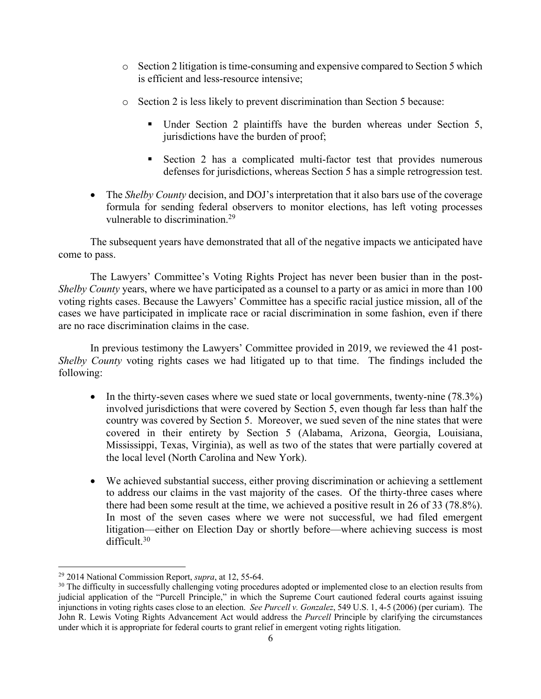- o Section 2 litigation is time-consuming and expensive compared to Section 5 which is efficient and less-resource intensive;
- o Section 2 is less likely to prevent discrimination than Section 5 because:
	- Under Section 2 plaintiffs have the burden whereas under Section 5, jurisdictions have the burden of proof;
	- Section 2 has a complicated multi-factor test that provides numerous defenses for jurisdictions, whereas Section 5 has a simple retrogression test.
- The *Shelby County* decision, and DOJ's interpretation that it also bars use of the coverage formula for sending federal observers to monitor elections, has left voting processes vulnerable to discrimination.<sup>29</sup>

The subsequent years have demonstrated that all of the negative impacts we anticipated have come to pass.

The Lawyers' Committee's Voting Rights Project has never been busier than in the post-*Shelby County* years, where we have participated as a counsel to a party or as amici in more than 100 voting rights cases. Because the Lawyers' Committee has a specific racial justice mission, all of the cases we have participated in implicate race or racial discrimination in some fashion, even if there are no race discrimination claims in the case.

In previous testimony the Lawyers' Committee provided in 2019, we reviewed the 41 post-*Shelby County* voting rights cases we had litigated up to that time. The findings included the following:

- In the thirty-seven cases where we sued state or local governments, twenty-nine (78.3%) involved jurisdictions that were covered by Section 5, even though far less than half the country was covered by Section 5. Moreover, we sued seven of the nine states that were covered in their entirety by Section 5 (Alabama, Arizona, Georgia, Louisiana, Mississippi, Texas, Virginia), as well as two of the states that were partially covered at the local level (North Carolina and New York).
- We achieved substantial success, either proving discrimination or achieving a settlement to address our claims in the vast majority of the cases. Of the thirty-three cases where there had been some result at the time, we achieved a positive result in 26 of 33 (78.8%). In most of the seven cases where we were not successful, we had filed emergent litigation—either on Election Day or shortly before—where achieving success is most difficult.30

<sup>29</sup> 2014 National Commission Report, *supra*, at 12, 55-64.

<sup>&</sup>lt;sup>30</sup> The difficulty in successfully challenging voting procedures adopted or implemented close to an election results from judicial application of the "Purcell Principle," in which the Supreme Court cautioned federal courts against issuing injunctions in voting rights cases close to an election. *See Purcell v. Gonzalez*, 549 U.S. 1, 4-5 (2006) (per curiam). The John R. Lewis Voting Rights Advancement Act would address the *Purcell* Principle by clarifying the circumstances under which it is appropriate for federal courts to grant relief in emergent voting rights litigation.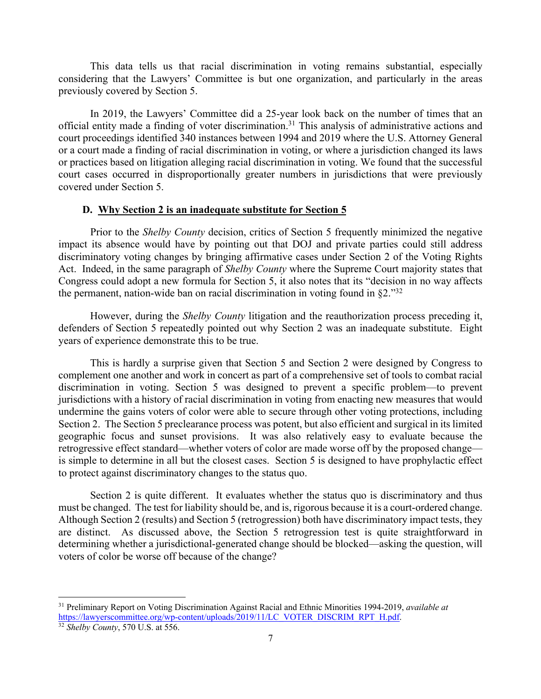This data tells us that racial discrimination in voting remains substantial, especially considering that the Lawyers' Committee is but one organization, and particularly in the areas previously covered by Section 5.

In 2019, the Lawyers' Committee did a 25-year look back on the number of times that an official entity made a finding of voter discrimination. <sup>31</sup> This analysis of administrative actions and court proceedings identified 340 instances between 1994 and 2019 where the U.S. Attorney General or a court made a finding of racial discrimination in voting, or where a jurisdiction changed its laws or practices based on litigation alleging racial discrimination in voting. We found that the successful court cases occurred in disproportionally greater numbers in jurisdictions that were previously covered under Section 5.

#### **D. Why Section 2 is an inadequate substitute for Section 5**

Prior to the *Shelby County* decision, critics of Section 5 frequently minimized the negative impact its absence would have by pointing out that DOJ and private parties could still address discriminatory voting changes by bringing affirmative cases under Section 2 of the Voting Rights Act. Indeed, in the same paragraph of *Shelby County* where the Supreme Court majority states that Congress could adopt a new formula for Section 5, it also notes that its "decision in no way affects the permanent, nation-wide ban on racial discrimination in voting found in  $\S2.^{32}$ 

However, during the *Shelby County* litigation and the reauthorization process preceding it, defenders of Section 5 repeatedly pointed out why Section 2 was an inadequate substitute. Eight years of experience demonstrate this to be true.

This is hardly a surprise given that Section 5 and Section 2 were designed by Congress to complement one another and work in concert as part of a comprehensive set of tools to combat racial discrimination in voting. Section 5 was designed to prevent a specific problem—to prevent jurisdictions with a history of racial discrimination in voting from enacting new measures that would undermine the gains voters of color were able to secure through other voting protections, including Section 2. The Section 5 preclearance process was potent, but also efficient and surgical in its limited geographic focus and sunset provisions. It was also relatively easy to evaluate because the retrogressive effect standard—whether voters of color are made worse off by the proposed change is simple to determine in all but the closest cases. Section 5 is designed to have prophylactic effect to protect against discriminatory changes to the status quo.

Section 2 is quite different. It evaluates whether the status quo is discriminatory and thus must be changed. The test for liability should be, and is, rigorous because it is a court-ordered change. Although Section 2 (results) and Section 5 (retrogression) both have discriminatory impact tests, they are distinct. As discussed above, the Section 5 retrogression test is quite straightforward in determining whether a jurisdictional-generated change should be blocked—asking the question, will voters of color be worse off because of the change?

<sup>31</sup> Preliminary Report on Voting Discrimination Against Racial and Ethnic Minorities 1994-2019, *available at* https://lawyerscommittee.org/wp-content/uploads/2019/11/LC\_VOTER\_DISCRIM\_RPT\_H.pdf.

<sup>32</sup> *Shelby County*, 570 U.S. at 556.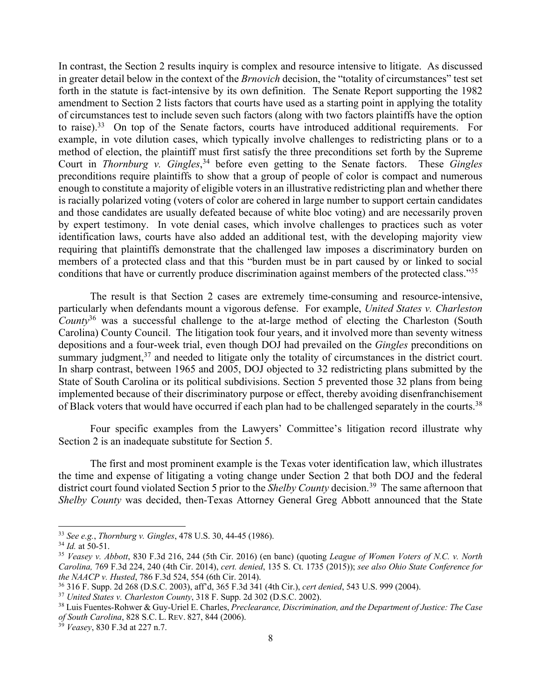In contrast, the Section 2 results inquiry is complex and resource intensive to litigate. As discussed in greater detail below in the context of the *Brnovich* decision, the "totality of circumstances" test set forth in the statute is fact-intensive by its own definition. The Senate Report supporting the 1982 amendment to Section 2 lists factors that courts have used as a starting point in applying the totality of circumstances test to include seven such factors (along with two factors plaintiffs have the option to raise).<sup>33</sup> On top of the Senate factors, courts have introduced additional requirements. For example, in vote dilution cases, which typically involve challenges to redistricting plans or to a method of election, the plaintiff must first satisfy the three preconditions set forth by the Supreme Court in *Thornburg v. Gingles*, <sup>34</sup> before even getting to the Senate factors. These *Gingles*  preconditions require plaintiffs to show that a group of people of color is compact and numerous enough to constitute a majority of eligible voters in an illustrative redistricting plan and whether there is racially polarized voting (voters of color are cohered in large number to support certain candidates and those candidates are usually defeated because of white bloc voting) and are necessarily proven by expert testimony. In vote denial cases, which involve challenges to practices such as voter identification laws, courts have also added an additional test, with the developing majority view requiring that plaintiffs demonstrate that the challenged law imposes a discriminatory burden on members of a protected class and that this "burden must be in part caused by or linked to social conditions that have or currently produce discrimination against members of the protected class."35

The result is that Section 2 cases are extremely time-consuming and resource-intensive, particularly when defendants mount a vigorous defense. For example, *United States v. Charleston County*<sup>36</sup> was a successful challenge to the at-large method of electing the Charleston (South Carolina) County Council. The litigation took four years, and it involved more than seventy witness depositions and a four-week trial, even though DOJ had prevailed on the *Gingles* preconditions on summary judgment,<sup>37</sup> and needed to litigate only the totality of circumstances in the district court. In sharp contrast, between 1965 and 2005, DOJ objected to 32 redistricting plans submitted by the State of South Carolina or its political subdivisions. Section 5 prevented those 32 plans from being implemented because of their discriminatory purpose or effect, thereby avoiding disenfranchisement of Black voters that would have occurred if each plan had to be challenged separately in the courts.<sup>38</sup>

Four specific examples from the Lawyers' Committee's litigation record illustrate why Section 2 is an inadequate substitute for Section 5.

The first and most prominent example is the Texas voter identification law, which illustrates the time and expense of litigating a voting change under Section 2 that both DOJ and the federal district court found violated Section 5 prior to the *Shelby County* decision.<sup>39</sup> The same afternoon that *Shelby County* was decided, then-Texas Attorney General Greg Abbott announced that the State

<sup>33</sup> *See e.g.*, *Thornburg v. Gingles*, 478 U.S. 30, 44-45 (1986).

 $34$  *Id.* at 50-51.

<sup>35</sup> *Veasey v. Abbott*, 830 F.3d 216, 244 (5th Cir. 2016) (en banc) (quoting *League of Women Voters of N.C. v. North Carolina,* 769 F.3d 224, 240 (4th Cir. 2014), *cert. denied*, 135 S. Ct. 1735 (2015)); *see also Ohio State Conference for the NAACP v. Husted*, 786 F.3d 524, 554 (6th Cir. 2014).

<sup>36</sup> 316 F. Supp. 2d 268 (D.S.C. 2003), aff'd, 365 F.3d 341 (4th Cir.), *cert denied*, 543 U.S. 999 (2004).

<sup>37</sup> *United States v. Charleston County*, 318 F. Supp. 2d 302 (D.S.C. 2002).

<sup>38</sup> Luis Fuentes-Rohwer & Guy-Uriel E. Charles, *Preclearance, Discrimination, and the Department of Justice: The Case of South Carolina*, 828 S.C. L. REV. 827, 844 (2006).

<sup>39</sup> *Veasey*, 830 F.3d at 227 n.7.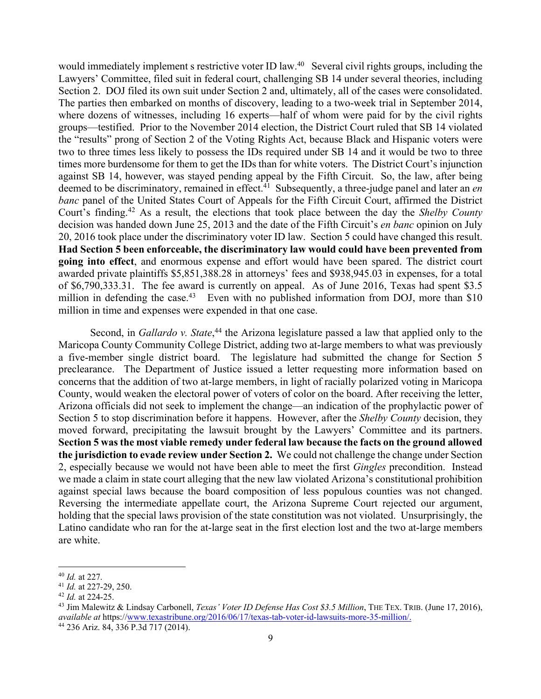would immediately implement s restrictive voter ID law.40 Several civil rights groups, including the Lawyers' Committee, filed suit in federal court, challenging SB 14 under several theories, including Section 2. DOJ filed its own suit under Section 2 and, ultimately, all of the cases were consolidated. The parties then embarked on months of discovery, leading to a two-week trial in September 2014, where dozens of witnesses, including 16 experts—half of whom were paid for by the civil rights groups—testified. Prior to the November 2014 election, the District Court ruled that SB 14 violated the "results" prong of Section 2 of the Voting Rights Act, because Black and Hispanic voters were two to three times less likely to possess the IDs required under SB 14 and it would be two to three times more burdensome for them to get the IDs than for white voters. The District Court's injunction against SB 14, however, was stayed pending appeal by the Fifth Circuit. So, the law, after being deemed to be discriminatory, remained in effect.<sup>41</sup> Subsequently, a three-judge panel and later an *en banc* panel of the United States Court of Appeals for the Fifth Circuit Court, affirmed the District Court's finding.42 As a result, the elections that took place between the day the *Shelby County* decision was handed down June 25, 2013 and the date of the Fifth Circuit's *en banc* opinion on July 20, 2016 took place under the discriminatory voter ID law. Section 5 could have changed this result. **Had Section 5 been enforceable, the discriminatory law would could have been prevented from going into effect**, and enormous expense and effort would have been spared. The district court awarded private plaintiffs \$5,851,388.28 in attorneys' fees and \$938,945.03 in expenses, for a total of \$6,790,333.31. The fee award is currently on appeal. As of June 2016, Texas had spent \$3.5 million in defending the case.<sup>43</sup> Even with no published information from DOJ, more than \$10 million in time and expenses were expended in that one case.

Second, in *Gallardo v. State*,<sup>44</sup> the Arizona legislature passed a law that applied only to the Maricopa County Community College District, adding two at-large members to what was previously a five-member single district board. The legislature had submitted the change for Section 5 preclearance. The Department of Justice issued a letter requesting more information based on concerns that the addition of two at-large members, in light of racially polarized voting in Maricopa County, would weaken the electoral power of voters of color on the board. After receiving the letter, Arizona officials did not seek to implement the change—an indication of the prophylactic power of Section 5 to stop discrimination before it happens. However, after the *Shelby County* decision, they moved forward, precipitating the lawsuit brought by the Lawyers' Committee and its partners. **Section 5 was the most viable remedy under federal law because the facts on the ground allowed the jurisdiction to evade review under Section 2.** We could not challenge the change under Section 2, especially because we would not have been able to meet the first *Gingles* precondition. Instead we made a claim in state court alleging that the new law violated Arizona's constitutional prohibition against special laws because the board composition of less populous counties was not changed. Reversing the intermediate appellate court, the Arizona Supreme Court rejected our argument, holding that the special laws provision of the state constitution was not violated. Unsurprisingly, the Latino candidate who ran for the at-large seat in the first election lost and the two at-large members are white.

<sup>40</sup> *Id.* at 227.

<sup>41</sup> *Id.* at 227-29, 250.

<sup>42</sup> *Id.* at 224-25.

<sup>43</sup> Jim Malewitz & Lindsay Carbonell, *Texas' Voter ID Defense Has Cost \$3.5 Million*, THE TEX. TRIB. (June 17, 2016), *available at* https://www.texastribune.org/2016/06/17/texas-tab-voter-id-lawsuits-more-35-million/.

<sup>44</sup> 236 Ariz. 84, 336 P.3d 717 (2014).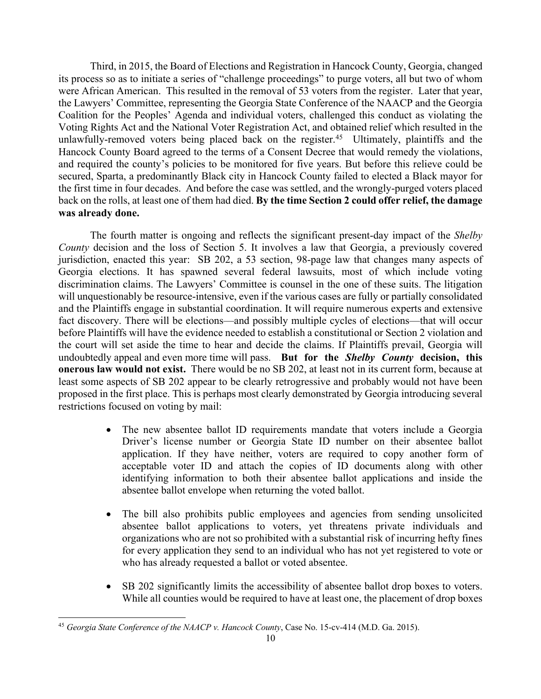Third, in 2015, the Board of Elections and Registration in Hancock County, Georgia, changed its process so as to initiate a series of "challenge proceedings" to purge voters, all but two of whom were African American. This resulted in the removal of 53 voters from the register. Later that year, the Lawyers' Committee, representing the Georgia State Conference of the NAACP and the Georgia Coalition for the Peoples' Agenda and individual voters, challenged this conduct as violating the Voting Rights Act and the National Voter Registration Act, and obtained relief which resulted in the unlawfully-removed voters being placed back on the register.<sup>45</sup> Ultimately, plaintiffs and the Hancock County Board agreed to the terms of a Consent Decree that would remedy the violations, and required the county's policies to be monitored for five years. But before this relieve could be secured, Sparta, a predominantly Black city in Hancock County failed to elected a Black mayor for the first time in four decades. And before the case was settled, and the wrongly-purged voters placed back on the rolls, at least one of them had died. **By the time Section 2 could offer relief, the damage was already done.**

The fourth matter is ongoing and reflects the significant present-day impact of the *Shelby County* decision and the loss of Section 5. It involves a law that Georgia, a previously covered jurisdiction, enacted this year: SB 202, a 53 section, 98-page law that changes many aspects of Georgia elections. It has spawned several federal lawsuits, most of which include voting discrimination claims. The Lawyers' Committee is counsel in the one of these suits. The litigation will unquestionably be resource-intensive, even if the various cases are fully or partially consolidated and the Plaintiffs engage in substantial coordination. It will require numerous experts and extensive fact discovery. There will be elections—and possibly multiple cycles of elections—that will occur before Plaintiffs will have the evidence needed to establish a constitutional or Section 2 violation and the court will set aside the time to hear and decide the claims. If Plaintiffs prevail, Georgia will undoubtedly appeal and even more time will pass. **But for the** *Shelby County* **decision, this onerous law would not exist.** There would be no SB 202, at least not in its current form, because at least some aspects of SB 202 appear to be clearly retrogressive and probably would not have been proposed in the first place. This is perhaps most clearly demonstrated by Georgia introducing several restrictions focused on voting by mail:

- The new absentee ballot ID requirements mandate that voters include a Georgia Driver's license number or Georgia State ID number on their absentee ballot application. If they have neither, voters are required to copy another form of acceptable voter ID and attach the copies of ID documents along with other identifying information to both their absentee ballot applications and inside the absentee ballot envelope when returning the voted ballot.
- The bill also prohibits public employees and agencies from sending unsolicited absentee ballot applications to voters, yet threatens private individuals and organizations who are not so prohibited with a substantial risk of incurring hefty fines for every application they send to an individual who has not yet registered to vote or who has already requested a ballot or voted absentee.
- SB 202 significantly limits the accessibility of absentee ballot drop boxes to voters. While all counties would be required to have at least one, the placement of drop boxes

<sup>45</sup> *Georgia State Conference of the NAACP v. Hancock County*, Case No. 15-cv-414 (M.D. Ga. 2015).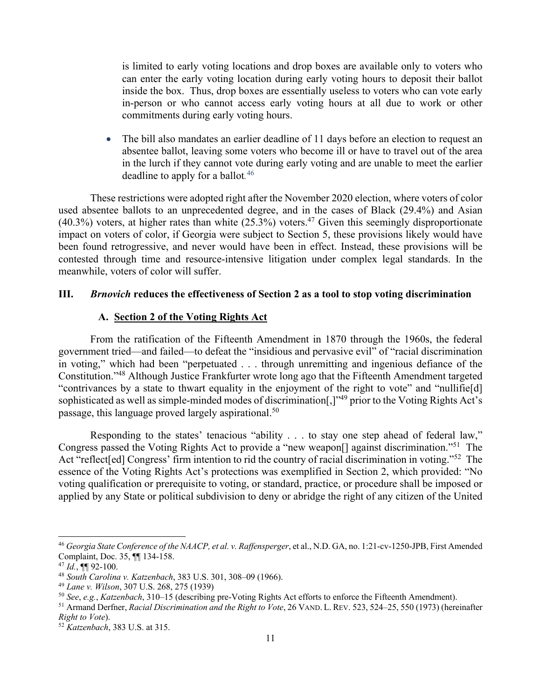is limited to early voting locations and drop boxes are available only to voters who can enter the early voting location during early voting hours to deposit their ballot inside the box. Thus, drop boxes are essentially useless to voters who can vote early in-person or who cannot access early voting hours at all due to work or other commitments during early voting hours.

• The bill also mandates an earlier deadline of 11 days before an election to request an absentee ballot, leaving some voters who become ill or have to travel out of the area in the lurch if they cannot vote during early voting and are unable to meet the earlier deadline to apply for a ballot*.* 46

These restrictions were adopted right after the November 2020 election, where voters of color used absentee ballots to an unprecedented degree, and in the cases of Black (29.4%) and Asian  $(40.3\%)$  voters, at higher rates than white  $(25.3\%)$  voters.<sup>47</sup> Given this seemingly disproportionate impact on voters of color, if Georgia were subject to Section 5, these provisions likely would have been found retrogressive, and never would have been in effect. Instead, these provisions will be contested through time and resource-intensive litigation under complex legal standards. In the meanwhile, voters of color will suffer.

#### **III.** *Brnovich* **reduces the effectiveness of Section 2 as a tool to stop voting discrimination**

### **A. Section 2 of the Voting Rights Act**

From the ratification of the Fifteenth Amendment in 1870 through the 1960s, the federal government tried—and failed—to defeat the "insidious and pervasive evil" of "racial discrimination in voting," which had been "perpetuated . . . through unremitting and ingenious defiance of the Constitution."48 Although Justice Frankfurter wrote long ago that the Fifteenth Amendment targeted "contrivances by a state to thwart equality in the enjoyment of the right to vote" and "nullifie[d] sophisticated as well as simple-minded modes of discrimination[,]"49 prior to the Voting Rights Act's passage, this language proved largely aspirational.50

Responding to the states' tenacious "ability . . . to stay one step ahead of federal law," Congress passed the Voting Rights Act to provide a "new weapon[] against discrimination."51 The Act "reflect[ed] Congress' firm intention to rid the country of racial discrimination in voting."<sup>52</sup> The essence of the Voting Rights Act's protections was exemplified in Section 2, which provided: "No voting qualification or prerequisite to voting, or standard, practice, or procedure shall be imposed or applied by any State or political subdivision to deny or abridge the right of any citizen of the United

<sup>46</sup> *Georgia State Conference of the NAACP, et al. v. Raffensperger*, et al., N.D. GA, no. 1:21-cv-1250-JPB, First Amended Complaint, Doc. 35, ¶¶ 134-158.

 $47$  *Id.*, **[1]** 92-100.

<sup>48</sup> *South Carolina v. Katzenbach*, 383 U.S. 301, 308–09 (1966). 49 *Lane v. Wilson*, 307 U.S. 268, 275 (1939)

<sup>50</sup> *See*, *e.g.*, *Katzenbach*, 310–15 (describing pre-Voting Rights Act efforts to enforce the Fifteenth Amendment).

<sup>51</sup> Armand Derfner, *Racial Discrimination and the Right to Vote*, 26 VAND. L. REV. 523, 524–25, 550 (1973) (hereinafter *Right to Vote*). 52 *Katzenbach*, 383 U.S. at 315.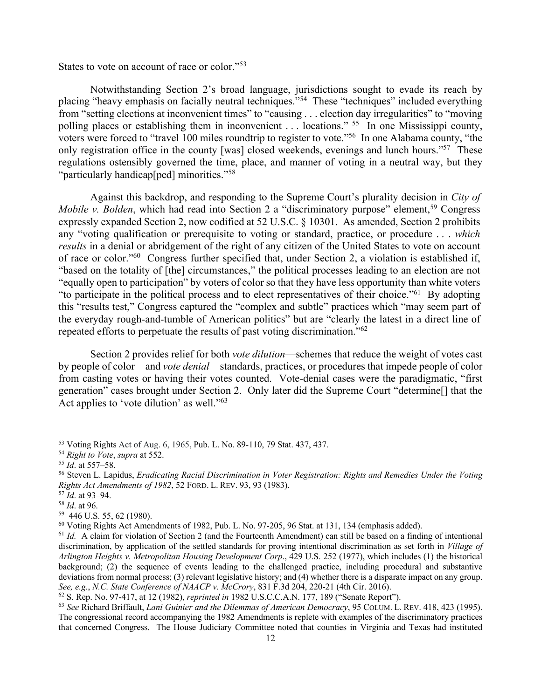States to vote on account of race or color."53

Notwithstanding Section 2's broad language, jurisdictions sought to evade its reach by placing "heavy emphasis on facially neutral techniques."54 These "techniques" included everything from "setting elections at inconvenient times" to "causing . . . election day irregularities" to "moving polling places or establishing them in inconvenient . . . locations." <sup>55</sup> In one Mississippi county, voters were forced to "travel 100 miles roundtrip to register to vote."56 In one Alabama county, "the only registration office in the county [was] closed weekends, evenings and lunch hours."<sup>57</sup> These regulations ostensibly governed the time, place, and manner of voting in a neutral way, but they "particularly handicap[ped] minorities."<sup>58</sup>

Against this backdrop, and responding to the Supreme Court's plurality decision in *City of Mobile v. Bolden*, which had read into Section 2 a "discriminatory purpose" element,<sup>59</sup> Congress expressly expanded Section 2, now codified at 52 U.S.C. § 10301. As amended, Section 2 prohibits any "voting qualification or prerequisite to voting or standard, practice, or procedure . . . *which results* in a denial or abridgement of the right of any citizen of the United States to vote on account of race or color."60 Congress further specified that, under Section 2, a violation is established if, "based on the totality of [the] circumstances," the political processes leading to an election are not "equally open to participation" by voters of color so that they have less opportunity than white voters "to participate in the political process and to elect representatives of their choice."61 By adopting this "results test," Congress captured the "complex and subtle" practices which "may seem part of the everyday rough-and-tumble of American politics" but are "clearly the latest in a direct line of repeated efforts to perpetuate the results of past voting discrimination."62

Section 2 provides relief for both *vote dilution*—schemes that reduce the weight of votes cast by people of color—and *vote denial*—standards, practices, or procedures that impede people of color from casting votes or having their votes counted. Vote-denial cases were the paradigmatic, "first generation" cases brought under Section 2. Only later did the Supreme Court "determine[] that the Act applies to 'vote dilution' as well."<sup>63</sup>

<sup>53</sup> Voting Rights Act of Aug. 6, 1965, Pub. L. No. 89-110, 79 Stat. 437, 437.

<sup>&</sup>lt;sup>54</sup> *Right to Vote*, *supra* at 552.<br><sup>55</sup> *Id.* at 557–58.<br><sup>56</sup> Steven L. Lapidus, *Eradicating Racial Discrimination in Voter Registration: Rights and Remedies Under the Voting Rights Act Amendments of 1982*, 52 FORD. L. REV. 93, 93 (1983). 57 *Id*. at 93–94. 58 *Id*. at 96.

 $^{59}$  446 U.S. 55, 62 (1980).<br> $^{60}$  Voting Rights Act Amendments of 1982, Pub. L. No. 97-205, 96 Stat. at 131, 134 (emphasis added).

 $^{61}$  *Id.* A claim for violation of Section 2 (and the Fourteenth Amendment) can still be based on a finding of intentional discrimination, by application of the settled standards for proving intentional discrimination as set forth in *Village of Arlington Heights v. Metropolitan Housing Development Corp*., 429 U.S. 252 (1977), which includes (1) the historical background; (2) the sequence of events leading to the challenged practice, including procedural and substantive deviations from normal process; (3) relevant legislative history; and (4) whether there is a disparate impact on any group. *See, e.g.*, *N.C. State Conference of NAACP v. McCrory*, 831 F.3d 204, 220-21 (4th Cir. 2016).

<sup>62</sup> S. Rep. No. 97-417, at 12 (1982), *reprinted in* 1982 U.S.C.C.A.N. 177, 189 ("Senate Report").

<sup>63</sup> *See* Richard Briffault, *Lani Guinier and the Dilemmas of American Democracy*, 95 COLUM. L. REV. 418, 423 (1995). The congressional record accompanying the 1982 Amendments is replete with examples of the discriminatory practices that concerned Congress. The House Judiciary Committee noted that counties in Virginia and Texas had instituted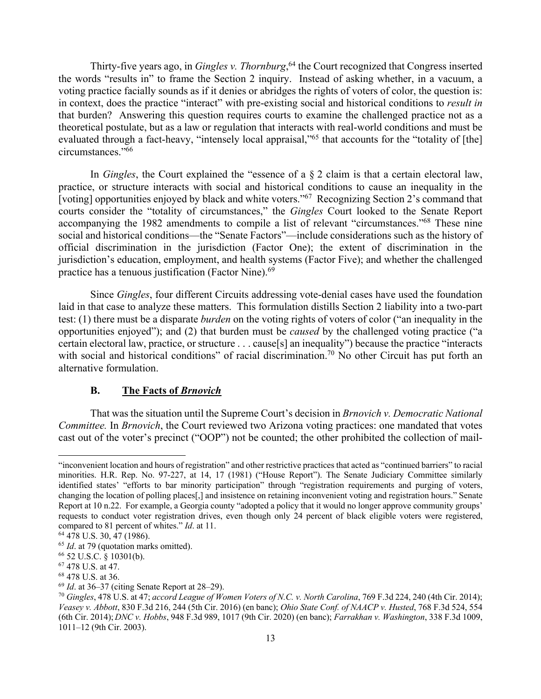Thirty-five years ago, in *Gingles v. Thornburg*, <sup>64</sup> the Court recognized that Congress inserted the words "results in" to frame the Section 2 inquiry. Instead of asking whether, in a vacuum, a voting practice facially sounds as if it denies or abridges the rights of voters of color, the question is: in context, does the practice "interact" with pre-existing social and historical conditions to *result in* that burden? Answering this question requires courts to examine the challenged practice not as a theoretical postulate, but as a law or regulation that interacts with real-world conditions and must be evaluated through a fact-heavy, "intensely local appraisal,"<sup>65</sup> that accounts for the "totality of [the] circumstances."66

In *Gingles*, the Court explained the "essence of a § 2 claim is that a certain electoral law, practice, or structure interacts with social and historical conditions to cause an inequality in the [voting] opportunities enjoyed by black and white voters."67 Recognizing Section 2's command that courts consider the "totality of circumstances," the *Gingles* Court looked to the Senate Report accompanying the 1982 amendments to compile a list of relevant "circumstances."68 These nine social and historical conditions—the "Senate Factors"—include considerations such as the history of official discrimination in the jurisdiction (Factor One); the extent of discrimination in the jurisdiction's education, employment, and health systems (Factor Five); and whether the challenged practice has a tenuous justification (Factor Nine).<sup>69</sup>

Since *Gingles*, four different Circuits addressing vote-denial cases have used the foundation laid in that case to analyze these matters. This formulation distills Section 2 liability into a two-part test: (1) there must be a disparate *burden* on the voting rights of voters of color ("an inequality in the opportunities enjoyed"); and (2) that burden must be *caused* by the challenged voting practice ("a certain electoral law, practice, or structure . . . cause[s] an inequality") because the practice "interacts with social and historical conditions" of racial discrimination.<sup>70</sup> No other Circuit has put forth an alternative formulation.

#### **B. The Facts of** *Brnovich*

That was the situation until the Supreme Court's decision in *Brnovich v. Democratic National Committee.* In *Brnovich*, the Court reviewed two Arizona voting practices: one mandated that votes cast out of the voter's precinct ("OOP") not be counted; the other prohibited the collection of mail-

<sup>&</sup>quot;inconvenient location and hours of registration" and other restrictive practices that acted as "continued barriers" to racial minorities. H.R. Rep. No. 97-227, at 14, 17 (1981) ("House Report"). The Senate Judiciary Committee similarly identified states' "efforts to bar minority participation" through "registration requirements and purging of voters, changing the location of polling places[,] and insistence on retaining inconvenient voting and registration hours." Senate Report at 10 n.22. For example, a Georgia county "adopted a policy that it would no longer approve community groups' requests to conduct voter registration drives, even though only 24 percent of black eligible voters were registered, compared to 81 percent of whites." *Id*. at 11.

<sup>64</sup> 478 U.S. 30, 47 (1986).

<sup>&</sup>lt;sup>65</sup> *Id.* at 79 (quotation marks omitted).

<sup>66</sup> 52 U.S.C. § 10301(b).

 $<sup>67</sup>$  478 U.S. at 47.<br><sup>68</sup> 478 U.S. at 36.</sup>

<sup>69</sup> *Id*. at 36–37 (citing Senate Report at 28–29).

<sup>70</sup> *Gingles*, 478 U.S. at 47; *accord League of Women Voters of N.C. v. North Carolina*, 769 F.3d 224, 240 (4th Cir. 2014); *Veasey v. Abbott*, 830 F.3d 216, 244 (5th Cir. 2016) (en banc); *Ohio State Conf. of NAACP v. Husted*, 768 F.3d 524, 554 (6th Cir. 2014); *DNC v. Hobbs*, 948 F.3d 989, 1017 (9th Cir. 2020) (en banc); *Farrakhan v. Washington*, 338 F.3d 1009, 1011–12 (9th Cir. 2003).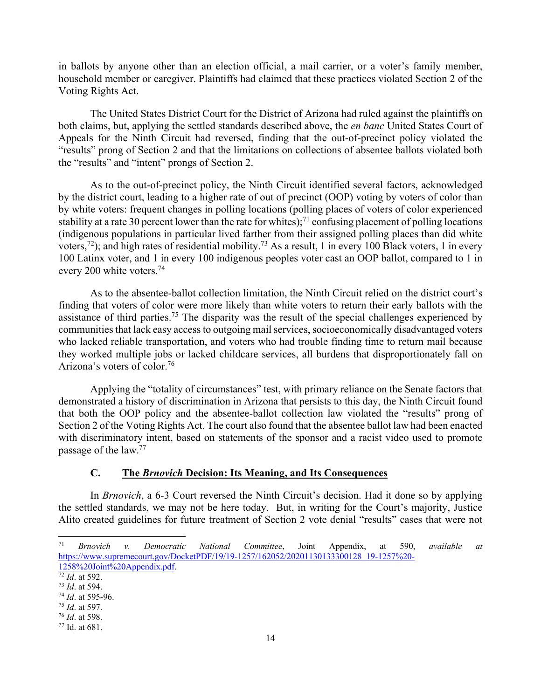in ballots by anyone other than an election official, a mail carrier, or a voter's family member, household member or caregiver. Plaintiffs had claimed that these practices violated Section 2 of the Voting Rights Act.

The United States District Court for the District of Arizona had ruled against the plaintiffs on both claims, but, applying the settled standards described above, the *en banc* United States Court of Appeals for the Ninth Circuit had reversed, finding that the out-of-precinct policy violated the "results" prong of Section 2 and that the limitations on collections of absentee ballots violated both the "results" and "intent" prongs of Section 2.

As to the out-of-precinct policy, the Ninth Circuit identified several factors, acknowledged by the district court, leading to a higher rate of out of precinct (OOP) voting by voters of color than by white voters: frequent changes in polling locations (polling places of voters of color experienced stability at a rate 30 percent lower than the rate for whites);<sup>71</sup> confusing placement of polling locations (indigenous populations in particular lived farther from their assigned polling places than did white voters,<sup>72</sup>); and high rates of residential mobility.<sup>73</sup> As a result, 1 in every 100 Black voters, 1 in every 100 Latinx voter, and 1 in every 100 indigenous peoples voter cast an OOP ballot, compared to 1 in every 200 white voters.74

As to the absentee-ballot collection limitation, the Ninth Circuit relied on the district court's finding that voters of color were more likely than white voters to return their early ballots with the assistance of third parties.75 The disparity was the result of the special challenges experienced by communities that lack easy access to outgoing mail services, socioeconomically disadvantaged voters who lacked reliable transportation, and voters who had trouble finding time to return mail because they worked multiple jobs or lacked childcare services, all burdens that disproportionately fall on Arizona's voters of color. 76

Applying the "totality of circumstances" test, with primary reliance on the Senate factors that demonstrated a history of discrimination in Arizona that persists to this day, the Ninth Circuit found that both the OOP policy and the absentee-ballot collection law violated the "results" prong of Section 2 of the Voting Rights Act. The court also found that the absentee ballot law had been enacted with discriminatory intent, based on statements of the sponsor and a racist video used to promote passage of the law.77

## **C. The** *Brnovich* **Decision: Its Meaning, and Its Consequences**

In *Brnovich*, a 6-3 Court reversed the Ninth Circuit's decision. Had it done so by applying the settled standards, we may not be here today. But, in writing for the Court's majority, Justice Alito created guidelines for future treatment of Section 2 vote denial "results" cases that were not

<sup>71</sup> *Brnovich v. Democratic National Committee*, Joint Appendix, at 590, *available at* https://www.supremecourt.gov/DocketPDF/19/19-1257/162052/20201130133300128\_19-1257%20- 1258%20Joint%20Appendix.pdf.

 $\sqrt{72}$  *Id.* at 592.

<sup>73</sup> *Id*. at 594.

<sup>74</sup> *Id*. at 595-96.

<sup>75</sup> *Id*. at 597.

<sup>76</sup> *Id*. at 598.

<sup>77</sup> Id. at 681.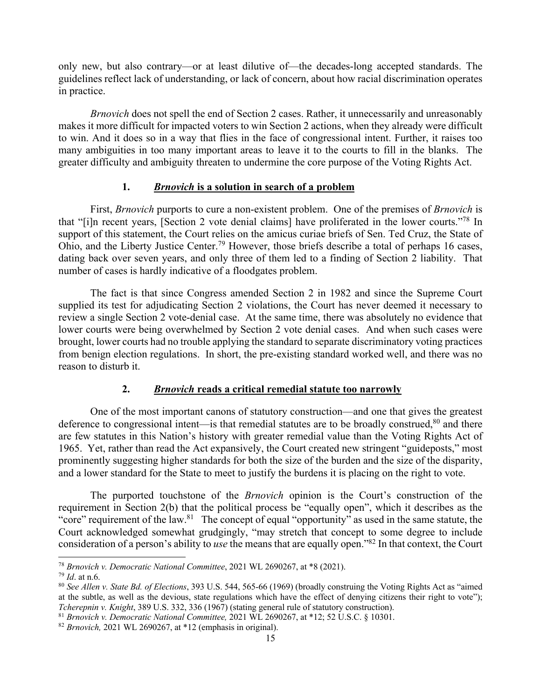only new, but also contrary—or at least dilutive of—the decades-long accepted standards. The guidelines reflect lack of understanding, or lack of concern, about how racial discrimination operates in practice.

*Brnovich* does not spell the end of Section 2 cases. Rather, it unnecessarily and unreasonably makes it more difficult for impacted voters to win Section 2 actions, when they already were difficult to win. And it does so in a way that flies in the face of congressional intent. Further, it raises too many ambiguities in too many important areas to leave it to the courts to fill in the blanks. The greater difficulty and ambiguity threaten to undermine the core purpose of the Voting Rights Act.

### **1.** *Brnovich* **is a solution in search of a problem**

First, *Brnovich* purports to cure a non-existent problem. One of the premises of *Brnovich* is that "[i]n recent years, [Section 2 vote denial claims] have proliferated in the lower courts."78 In support of this statement, the Court relies on the amicus curiae briefs of Sen. Ted Cruz, the State of Ohio, and the Liberty Justice Center.79 However, those briefs describe a total of perhaps 16 cases, dating back over seven years, and only three of them led to a finding of Section 2 liability. That number of cases is hardly indicative of a floodgates problem.

The fact is that since Congress amended Section 2 in 1982 and since the Supreme Court supplied its test for adjudicating Section 2 violations, the Court has never deemed it necessary to review a single Section 2 vote-denial case. At the same time, there was absolutely no evidence that lower courts were being overwhelmed by Section 2 vote denial cases. And when such cases were brought, lower courts had no trouble applying the standard to separate discriminatory voting practices from benign election regulations. In short, the pre-existing standard worked well, and there was no reason to disturb it.

# **2.** *Brnovich* **reads a critical remedial statute too narrowly**

One of the most important canons of statutory construction—and one that gives the greatest deference to congressional intent—is that remedial statutes are to be broadly construed, $80$  and there are few statutes in this Nation's history with greater remedial value than the Voting Rights Act of 1965. Yet, rather than read the Act expansively, the Court created new stringent "guideposts," most prominently suggesting higher standards for both the size of the burden and the size of the disparity, and a lower standard for the State to meet to justify the burdens it is placing on the right to vote.

The purported touchstone of the *Brnovich* opinion is the Court's construction of the requirement in Section 2(b) that the political process be "equally open", which it describes as the "core" requirement of the law.<sup>81</sup> The concept of equal "opportunity" as used in the same statute, the Court acknowledged somewhat grudgingly, "may stretch that concept to some degree to include consideration of a person's ability to *use* the means that are equally open."82 In that context, the Court

<sup>78</sup> *Brnovich v. Democratic National Committee*, 2021 WL 2690267, at \*8 (2021).

<sup>79</sup> *Id*. at n.6.

<sup>80</sup> *See Allen v. State Bd. of Elections*, 393 U.S. 544, 565-66 (1969) (broadly construing the Voting Rights Act as "aimed at the subtle, as well as the devious, state regulations which have the effect of denying citizens their right to vote"); *Tcherepnin v. Knight*, 389 U.S. 332, 336 (1967) (stating general rule of statutory construction).

<sup>81</sup> *Brnovich v. Democratic National Committee,* 2021 WL 2690267, at \*12; 52 U.S.C. § 10301. 82 *Brnovich,* 2021 WL 2690267, at \*12 (emphasis in original).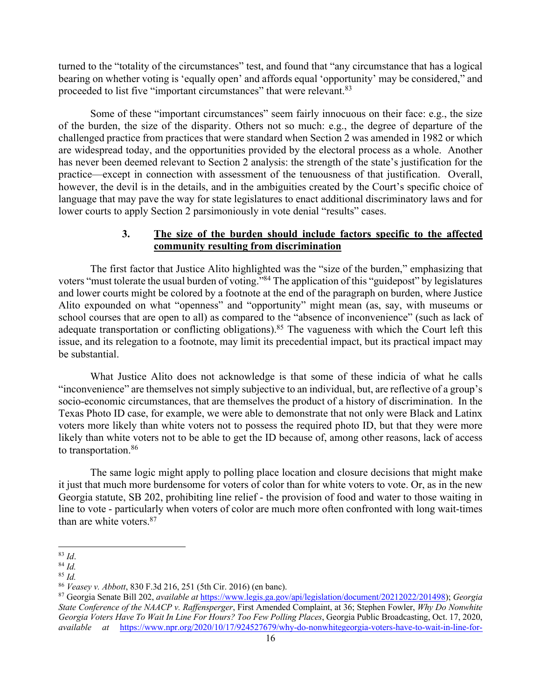turned to the "totality of the circumstances" test, and found that "any circumstance that has a logical bearing on whether voting is 'equally open' and affords equal 'opportunity' may be considered," and proceeded to list five "important circumstances" that were relevant.83

Some of these "important circumstances" seem fairly innocuous on their face: e.g., the size of the burden, the size of the disparity. Others not so much: e.g., the degree of departure of the challenged practice from practices that were standard when Section 2 was amended in 1982 or which are widespread today, and the opportunities provided by the electoral process as a whole. Another has never been deemed relevant to Section 2 analysis: the strength of the state's justification for the practice—except in connection with assessment of the tenuousness of that justification. Overall, however, the devil is in the details, and in the ambiguities created by the Court's specific choice of language that may pave the way for state legislatures to enact additional discriminatory laws and for lower courts to apply Section 2 parsimoniously in vote denial "results" cases.

# **3. The size of the burden should include factors specific to the affected community resulting from discrimination**

The first factor that Justice Alito highlighted was the "size of the burden," emphasizing that voters "must tolerate the usual burden of voting."<sup>84</sup> The application of this "guidepost" by legislatures and lower courts might be colored by a footnote at the end of the paragraph on burden, where Justice Alito expounded on what "openness" and "opportunity" might mean (as, say, with museums or school courses that are open to all) as compared to the "absence of inconvenience" (such as lack of adequate transportation or conflicting obligations).<sup>85</sup> The vagueness with which the Court left this issue, and its relegation to a footnote, may limit its precedential impact, but its practical impact may be substantial.

What Justice Alito does not acknowledge is that some of these indicia of what he calls "inconvenience" are themselves not simply subjective to an individual, but, are reflective of a group's socio-economic circumstances, that are themselves the product of a history of discrimination. In the Texas Photo ID case, for example, we were able to demonstrate that not only were Black and Latinx voters more likely than white voters not to possess the required photo ID, but that they were more likely than white voters not to be able to get the ID because of, among other reasons, lack of access to transportation.<sup>86</sup>

The same logic might apply to polling place location and closure decisions that might make it just that much more burdensome for voters of color than for white voters to vote. Or, as in the new Georgia statute, SB 202, prohibiting line relief - the provision of food and water to those waiting in line to vote - particularly when voters of color are much more often confronted with long wait-times than are white voters.87

<sup>83</sup> *Id*.

<sup>84</sup> *Id.*

<sup>85</sup> *Id.*

<sup>86</sup> *Veasey v. Abbott*, 830 F.3d 216, 251 (5th Cir. 2016) (en banc).

<sup>87</sup> Georgia Senate Bill 202, *available at* https://www.legis.ga.gov/api/legislation/document/20212022/201498); *Georgia State Conference of the NAACP v. Raffensperger*, First Amended Complaint, at 36; Stephen Fowler, *Why Do Nonwhite Georgia Voters Have To Wait In Line For Hours? Too Few Polling Places*, Georgia Public Broadcasting, Oct. 17, 2020, *available at* https://www.npr.org/2020/10/17/924527679/why-do-nonwhitegeorgia-voters-have-to-wait-in-line-for-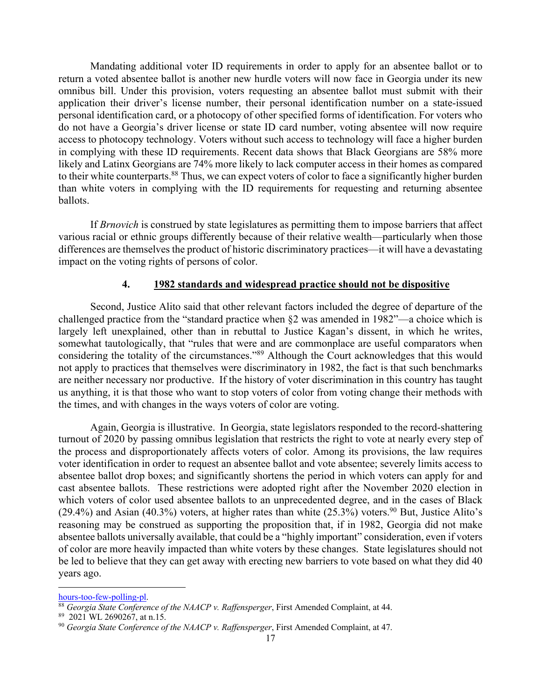Mandating additional voter ID requirements in order to apply for an absentee ballot or to return a voted absentee ballot is another new hurdle voters will now face in Georgia under its new omnibus bill. Under this provision, voters requesting an absentee ballot must submit with their application their driver's license number, their personal identification number on a state-issued personal identification card, or a photocopy of other specified forms of identification. For voters who do not have a Georgia's driver license or state ID card number, voting absentee will now require access to photocopy technology. Voters without such access to technology will face a higher burden in complying with these ID requirements. Recent data shows that Black Georgians are 58% more likely and Latinx Georgians are 74% more likely to lack computer access in their homes as compared to their white counterparts.<sup>88</sup> Thus, we can expect voters of color to face a significantly higher burden than white voters in complying with the ID requirements for requesting and returning absentee ballots.

If *Brnovich* is construed by state legislatures as permitting them to impose barriers that affect various racial or ethnic groups differently because of their relative wealth—particularly when those differences are themselves the product of historic discriminatory practices—it will have a devastating impact on the voting rights of persons of color.

#### **4. 1982 standards and widespread practice should not be dispositive**

Second, Justice Alito said that other relevant factors included the degree of departure of the challenged practice from the "standard practice when §2 was amended in 1982"—a choice which is largely left unexplained, other than in rebuttal to Justice Kagan's dissent, in which he writes, somewhat tautologically, that "rules that were and are commonplace are useful comparators when considering the totality of the circumstances."89 Although the Court acknowledges that this would not apply to practices that themselves were discriminatory in 1982, the fact is that such benchmarks are neither necessary nor productive. If the history of voter discrimination in this country has taught us anything, it is that those who want to stop voters of color from voting change their methods with the times, and with changes in the ways voters of color are voting.

Again, Georgia is illustrative. In Georgia, state legislators responded to the record-shattering turnout of 2020 by passing omnibus legislation that restricts the right to vote at nearly every step of the process and disproportionately affects voters of color. Among its provisions, the law requires voter identification in order to request an absentee ballot and vote absentee; severely limits access to absentee ballot drop boxes; and significantly shortens the period in which voters can apply for and cast absentee ballots. These restrictions were adopted right after the November 2020 election in which voters of color used absentee ballots to an unprecedented degree, and in the cases of Black (29.4%) and Asian (40.3%) voters, at higher rates than white (25.3%) voters.<sup>90</sup> But, Justice Alito's reasoning may be construed as supporting the proposition that, if in 1982, Georgia did not make absentee ballots universally available, that could be a "highly important" consideration, even if voters of color are more heavily impacted than white voters by these changes. State legislatures should not be led to believe that they can get away with erecting new barriers to vote based on what they did 40 years ago.

hours-too-few-polling-pl.

<sup>88</sup> *Georgia State Conference of the NAACP v. Raffensperger*, First Amended Complaint, at 44.

<sup>89 2021</sup> WL 2690267, at n.15.

<sup>90</sup> *Georgia State Conference of the NAACP v. Raffensperger*, First Amended Complaint, at 47.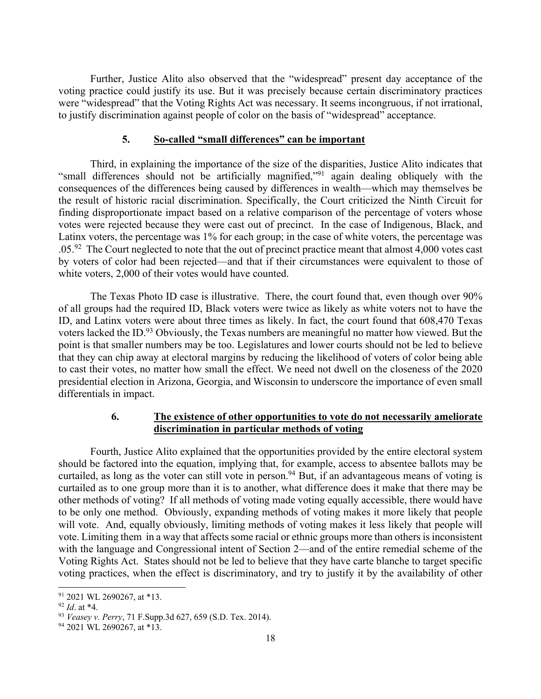Further, Justice Alito also observed that the "widespread" present day acceptance of the voting practice could justify its use. But it was precisely because certain discriminatory practices were "widespread" that the Voting Rights Act was necessary. It seems incongruous, if not irrational, to justify discrimination against people of color on the basis of "widespread" acceptance.

#### **5. So-called "small differences" can be important**

Third, in explaining the importance of the size of the disparities, Justice Alito indicates that "small differences should not be artificially magnified,"91 again dealing obliquely with the consequences of the differences being caused by differences in wealth—which may themselves be the result of historic racial discrimination. Specifically, the Court criticized the Ninth Circuit for finding disproportionate impact based on a relative comparison of the percentage of voters whose votes were rejected because they were cast out of precinct. In the case of Indigenous, Black, and Latinx voters, the percentage was 1% for each group; in the case of white voters, the percentage was  $0.05<sup>92</sup>$  The Court neglected to note that the out of precinct practice meant that almost 4,000 votes cast by voters of color had been rejected—and that if their circumstances were equivalent to those of white voters, 2,000 of their votes would have counted.

The Texas Photo ID case is illustrative. There, the court found that, even though over 90% of all groups had the required ID, Black voters were twice as likely as white voters not to have the ID, and Latinx voters were about three times as likely. In fact, the court found that 608,470 Texas voters lacked the ID.93 Obviously, the Texas numbers are meaningful no matter how viewed. But the point is that smaller numbers may be too. Legislatures and lower courts should not be led to believe that they can chip away at electoral margins by reducing the likelihood of voters of color being able to cast their votes, no matter how small the effect. We need not dwell on the closeness of the 2020 presidential election in Arizona, Georgia, and Wisconsin to underscore the importance of even small differentials in impact.

## **6. The existence of other opportunities to vote do not necessarily ameliorate discrimination in particular methods of voting**

Fourth, Justice Alito explained that the opportunities provided by the entire electoral system should be factored into the equation, implying that, for example, access to absentee ballots may be curtailed, as long as the voter can still vote in person.<sup>94</sup> But, if an advantageous means of voting is curtailed as to one group more than it is to another, what difference does it make that there may be other methods of voting? If all methods of voting made voting equally accessible, there would have to be only one method. Obviously, expanding methods of voting makes it more likely that people will vote. And, equally obviously, limiting methods of voting makes it less likely that people will vote. Limiting them in a way that affects some racial or ethnic groups more than others is inconsistent with the language and Congressional intent of Section 2—and of the entire remedial scheme of the Voting Rights Act. States should not be led to believe that they have carte blanche to target specific voting practices, when the effect is discriminatory, and try to justify it by the availability of other

<sup>91</sup> 2021 WL 2690267, at \*13.

<sup>92</sup> *Id*. at \*4.

<sup>93</sup> *Veasey v. Perry*, 71 F.Supp.3d 627, 659 (S.D. Tex. 2014).

<sup>94</sup> 2021 WL 2690267, at \*13.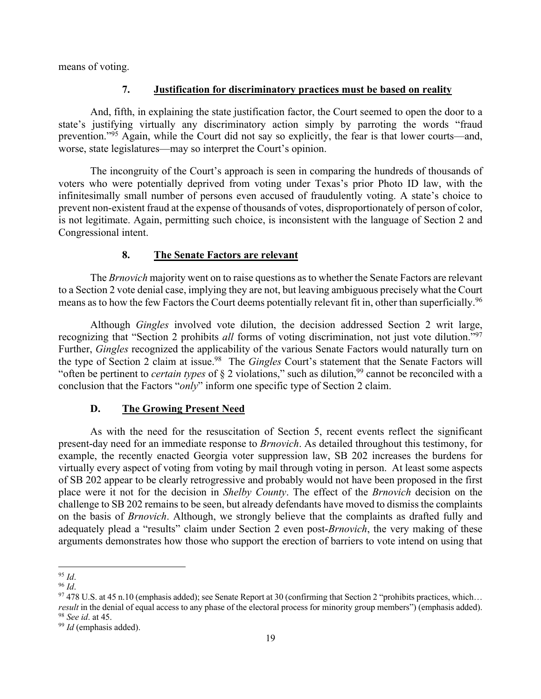means of voting.

# **7. Justification for discriminatory practices must be based on reality**

And, fifth, in explaining the state justification factor, the Court seemed to open the door to a state's justifying virtually any discriminatory action simply by parroting the words "fraud prevention."95 Again, while the Court did not say so explicitly, the fear is that lower courts—and, worse, state legislatures—may so interpret the Court's opinion.

The incongruity of the Court's approach is seen in comparing the hundreds of thousands of voters who were potentially deprived from voting under Texas's prior Photo ID law, with the infinitesimally small number of persons even accused of fraudulently voting. A state's choice to prevent non-existent fraud at the expense of thousands of votes, disproportionately of person of color, is not legitimate. Again, permitting such choice, is inconsistent with the language of Section 2 and Congressional intent.

## **8. The Senate Factors are relevant**

The *Brnovich* majority went on to raise questions as to whether the Senate Factors are relevant to a Section 2 vote denial case, implying they are not, but leaving ambiguous precisely what the Court means as to how the few Factors the Court deems potentially relevant fit in, other than superficially.<sup>96</sup>

Although *Gingles* involved vote dilution, the decision addressed Section 2 writ large, recognizing that "Section 2 prohibits *all* forms of voting discrimination, not just vote dilution."97 Further, *Gingles* recognized the applicability of the various Senate Factors would naturally turn on the type of Section 2 claim at issue.98 The *Gingles* Court's statement that the Senate Factors will "often be pertinent to *certain types* of  $\S$  2 violations," such as dilution,<sup>99</sup> cannot be reconciled with a conclusion that the Factors "*only*" inform one specific type of Section 2 claim.

### **D. The Growing Present Need**

As with the need for the resuscitation of Section 5, recent events reflect the significant present-day need for an immediate response to *Brnovich*. As detailed throughout this testimony, for example, the recently enacted Georgia voter suppression law, SB 202 increases the burdens for virtually every aspect of voting from voting by mail through voting in person. At least some aspects of SB 202 appear to be clearly retrogressive and probably would not have been proposed in the first place were it not for the decision in *Shelby County*. The effect of the *Brnovich* decision on the challenge to SB 202 remains to be seen, but already defendants have moved to dismiss the complaints on the basis of *Brnovich*. Although, we strongly believe that the complaints as drafted fully and adequately plead a "results" claim under Section 2 even post-*Brnovich*, the very making of these arguments demonstrates how those who support the erection of barriers to vote intend on using that

<sup>95</sup> *Id*.

<sup>&</sup>lt;sup>97</sup> 478 U.S. at 45 n.10 (emphasis added); see Senate Report at 30 (confirming that Section 2 "prohibits practices, which... *result* in the denial of equal access to any phase of the electoral process for minority group members") (emphasis added).<br><sup>98</sup> *See id.* at 45. 99 *Id* (emphasis added).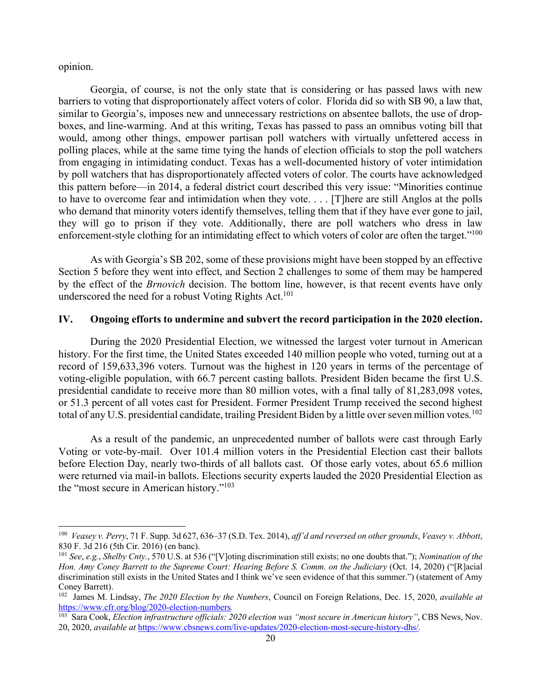opinion.

Georgia, of course, is not the only state that is considering or has passed laws with new barriers to voting that disproportionately affect voters of color. Florida did so with SB 90, a law that, similar to Georgia's, imposes new and unnecessary restrictions on absentee ballots, the use of dropboxes, and line-warming. And at this writing, Texas has passed to pass an omnibus voting bill that would, among other things, empower partisan poll watchers with virtually unfettered access in polling places, while at the same time tying the hands of election officials to stop the poll watchers from engaging in intimidating conduct. Texas has a well-documented history of voter intimidation by poll watchers that has disproportionately affected voters of color. The courts have acknowledged this pattern before—in 2014, a federal district court described this very issue: "Minorities continue to have to overcome fear and intimidation when they vote. . . . [T]here are still Anglos at the polls who demand that minority voters identify themselves, telling them that if they have ever gone to jail, they will go to prison if they vote. Additionally, there are poll watchers who dress in law enforcement-style clothing for an intimidating effect to which voters of color are often the target."<sup>100</sup>

As with Georgia's SB 202, some of these provisions might have been stopped by an effective Section 5 before they went into effect, and Section 2 challenges to some of them may be hampered by the effect of the *Brnovich* decision. The bottom line, however, is that recent events have only underscored the need for a robust Voting Rights Act.<sup>101</sup>

### **IV. Ongoing efforts to undermine and subvert the record participation in the 2020 election.**

During the 2020 Presidential Election, we witnessed the largest voter turnout in American history. For the first time, the United States exceeded 140 million people who voted, turning out at a record of 159,633,396 voters. Turnout was the highest in 120 years in terms of the percentage of voting-eligible population, with 66.7 percent casting ballots. President Biden became the first U.S. presidential candidate to receive more than 80 million votes, with a final tally of 81,283,098 votes, or 51.3 percent of all votes cast for President. Former President Trump received the second highest total of any U.S. presidential candidate, trailing President Biden by a little over seven million votes.<sup>102</sup>

As a result of the pandemic, an unprecedented number of ballots were cast through Early Voting or vote-by-mail. Over 101.4 million voters in the Presidential Election cast their ballots before Election Day, nearly two-thirds of all ballots cast. Of those early votes, about 65.6 million were returned via mail-in ballots. Elections security experts lauded the 2020 Presidential Election as the "most secure in American history."103

<sup>100</sup> *Veasey v. Perry*, 71 F. Supp. 3d 627, 636–37 (S.D. Tex. 2014), *aff'd and reversed on other grounds*, *Veasey v. Abbott*, 830 F. 3d 216 (5th Cir. 2016) (en banc).

<sup>101</sup> *See*, *e.g.*, *Shelby Cnty.*, 570 U.S. at 536 ("[V]oting discrimination still exists; no one doubts that."); *Nomination of the Hon. Amy Coney Barrett to the Supreme Court: Hearing Before S. Comm. on the Judiciary (Oct. 14, 2020) ("[R]acial* discrimination still exists in the United States and I think we've seen evidence of that this summer.") (statement of Amy Coney Barrett).

<sup>102</sup> James M. Lindsay, *The 2020 Election by the Numbers*, Council on Foreign Relations, Dec. 15, 2020, *available at*  https://www.cfr.org/blog/2020-election-numbers*.* 

<sup>103</sup> Sara Cook, *Election infrastructure officials: 2020 election was "most secure in American history"*, CBS News, Nov. 20, 2020, *available at* https://www.cbsnews.com/live-updates/2020-election-most-secure-history-dhs/*.*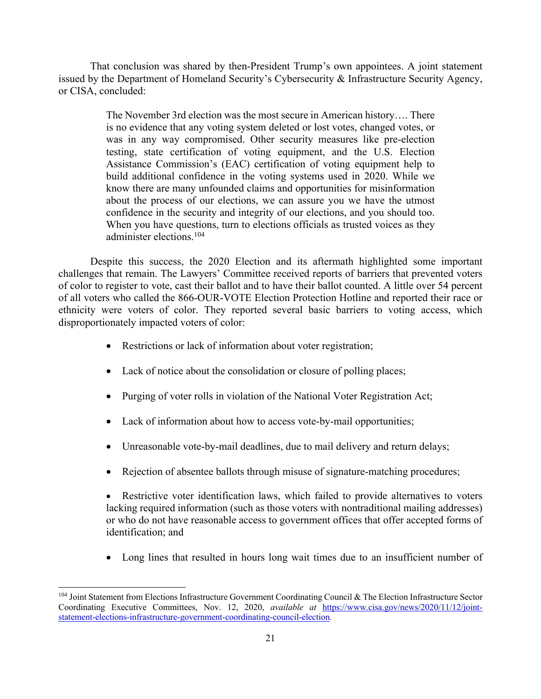That conclusion was shared by then-President Trump's own appointees. A joint statement issued by the Department of Homeland Security's Cybersecurity & Infrastructure Security Agency, or CISA, concluded:

> The November 3rd election was the most secure in American history…. There is no evidence that any voting system deleted or lost votes, changed votes, or was in any way compromised. Other security measures like pre-election testing, state certification of voting equipment, and the U.S. Election Assistance Commission's (EAC) certification of voting equipment help to build additional confidence in the voting systems used in 2020. While we know there are many unfounded claims and opportunities for misinformation about the process of our elections, we can assure you we have the utmost confidence in the security and integrity of our elections, and you should too. When you have questions, turn to elections officials as trusted voices as they administer elections.104

Despite this success, the 2020 Election and its aftermath highlighted some important challenges that remain. The Lawyers' Committee received reports of barriers that prevented voters of color to register to vote, cast their ballot and to have their ballot counted. A little over 54 percent of all voters who called the 866-OUR-VOTE Election Protection Hotline and reported their race or ethnicity were voters of color. They reported several basic barriers to voting access, which disproportionately impacted voters of color:

- Restrictions or lack of information about voter registration;
- Lack of notice about the consolidation or closure of polling places;
- Purging of voter rolls in violation of the National Voter Registration Act;
- Lack of information about how to access vote-by-mail opportunities;
- Unreasonable vote-by-mail deadlines, due to mail delivery and return delays;
- Rejection of absentee ballots through misuse of signature-matching procedures;

• Restrictive voter identification laws, which failed to provide alternatives to voters lacking required information (such as those voters with nontraditional mailing addresses) or who do not have reasonable access to government offices that offer accepted forms of identification; and

Long lines that resulted in hours long wait times due to an insufficient number of

<sup>&</sup>lt;sup>104</sup> Joint Statement from Elections Infrastructure Government Coordinating Council & The Election Infrastructure Sector Coordinating Executive Committees, Nov. 12, 2020, *available at* https://www.cisa.gov/news/2020/11/12/jointstatement-elections-infrastructure-government-coordinating-council-election*.*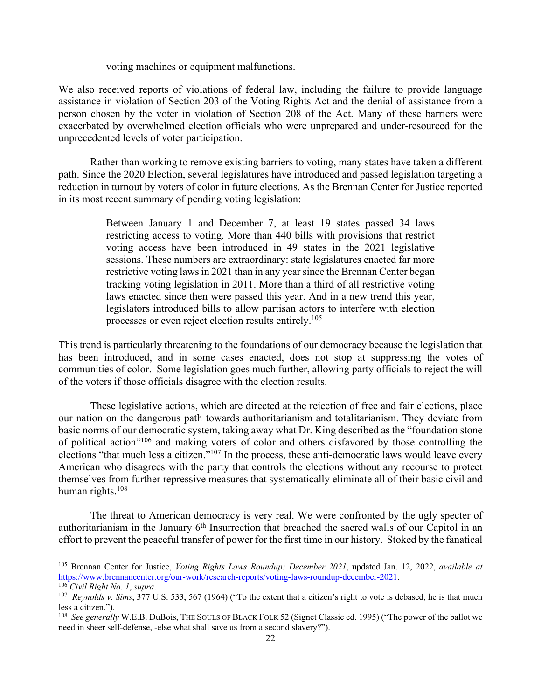voting machines or equipment malfunctions.

We also received reports of violations of federal law, including the failure to provide language assistance in violation of Section 203 of the Voting Rights Act and the denial of assistance from a person chosen by the voter in violation of Section 208 of the Act. Many of these barriers were exacerbated by overwhelmed election officials who were unprepared and under-resourced for the unprecedented levels of voter participation.

Rather than working to remove existing barriers to voting, many states have taken a different path. Since the 2020 Election, several legislatures have introduced and passed legislation targeting a reduction in turnout by voters of color in future elections. As the Brennan Center for Justice reported in its most recent summary of pending voting legislation:

> Between January 1 and December 7, at least 19 states passed 34 laws restricting access to voting. More than 440 bills with provisions that restrict voting access have been introduced in 49 states in the 2021 legislative sessions. These numbers are extraordinary: state legislatures enacted far more restrictive voting laws in 2021 than in any year since the Brennan Center began tracking voting legislation in 2011. More than a third of all restrictive voting laws enacted since then were passed this year. And in a new trend this year, legislators introduced bills to allow partisan actors to interfere with election processes or even reject election results entirely.<sup>105</sup>

This trend is particularly threatening to the foundations of our democracy because the legislation that has been introduced, and in some cases enacted, does not stop at suppressing the votes of communities of color. Some legislation goes much further, allowing party officials to reject the will of the voters if those officials disagree with the election results.

These legislative actions, which are directed at the rejection of free and fair elections, place our nation on the dangerous path towards authoritarianism and totalitarianism. They deviate from basic norms of our democratic system, taking away what Dr. King described as the "foundation stone of political action"106 and making voters of color and others disfavored by those controlling the elections "that much less a citizen."107 In the process, these anti-democratic laws would leave every American who disagrees with the party that controls the elections without any recourse to protect themselves from further repressive measures that systematically eliminate all of their basic civil and human rights.<sup>108</sup>

The threat to American democracy is very real. We were confronted by the ugly specter of authoritarianism in the January  $6<sup>th</sup>$  Insurrection that breached the sacred walls of our Capitol in an effort to prevent the peaceful transfer of power for the first time in our history. Stoked by the fanatical

<sup>105</sup> Brennan Center for Justice, *Voting Rights Laws Roundup: December 2021*, updated Jan. 12, 2022, *available at*  https://www.brennancenter.org/our-work/research-reports/voting-laws-roundup-december-2021. 106 *Civil Right No. 1*, *supra*.

<sup>107</sup> *Reynolds v. Sims*, 377 U.S. 533, 567 (1964) ("To the extent that a citizen's right to vote is debased, he is that much less a citizen.").

<sup>&</sup>lt;sup>108</sup> *See generally* W.E.B. DuBois, THE SOULS OF BLACK FOLK 52 (Signet Classic ed. 1995) ("The power of the ballot we need in sheer self-defense, -else what shall save us from a second slavery?").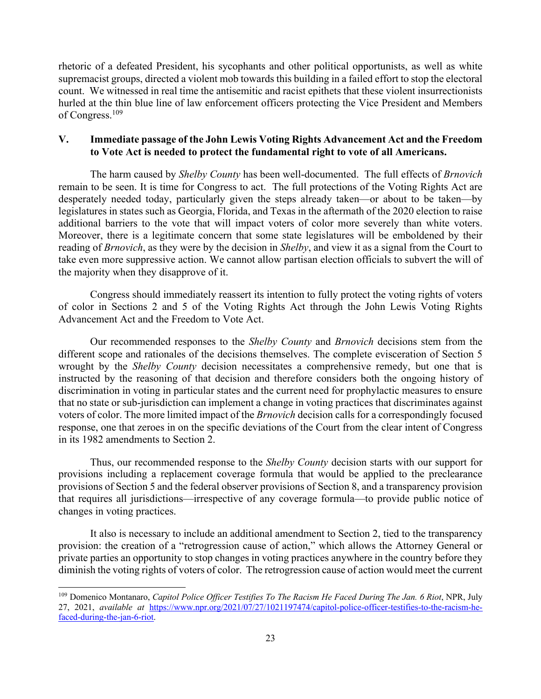rhetoric of a defeated President, his sycophants and other political opportunists, as well as white supremacist groups, directed a violent mob towards this building in a failed effort to stop the electoral count. We witnessed in real time the antisemitic and racist epithets that these violent insurrectionists hurled at the thin blue line of law enforcement officers protecting the Vice President and Members of Congress.109

# **V. Immediate passage of the John Lewis Voting Rights Advancement Act and the Freedom to Vote Act is needed to protect the fundamental right to vote of all Americans.**

The harm caused by *Shelby County* has been well-documented. The full effects of *Brnovich* remain to be seen. It is time for Congress to act. The full protections of the Voting Rights Act are desperately needed today, particularly given the steps already taken—or about to be taken—by legislatures in states such as Georgia, Florida, and Texas in the aftermath of the 2020 election to raise additional barriers to the vote that will impact voters of color more severely than white voters. Moreover, there is a legitimate concern that some state legislatures will be emboldened by their reading of *Brnovich*, as they were by the decision in *Shelby*, and view it as a signal from the Court to take even more suppressive action. We cannot allow partisan election officials to subvert the will of the majority when they disapprove of it.

Congress should immediately reassert its intention to fully protect the voting rights of voters of color in Sections 2 and 5 of the Voting Rights Act through the John Lewis Voting Rights Advancement Act and the Freedom to Vote Act.

Our recommended responses to the *Shelby County* and *Brnovich* decisions stem from the different scope and rationales of the decisions themselves. The complete evisceration of Section 5 wrought by the *Shelby County* decision necessitates a comprehensive remedy, but one that is instructed by the reasoning of that decision and therefore considers both the ongoing history of discrimination in voting in particular states and the current need for prophylactic measures to ensure that no state or sub-jurisdiction can implement a change in voting practices that discriminates against voters of color. The more limited impact of the *Brnovich* decision calls for a correspondingly focused response, one that zeroes in on the specific deviations of the Court from the clear intent of Congress in its 1982 amendments to Section 2.

Thus, our recommended response to the *Shelby County* decision starts with our support for provisions including a replacement coverage formula that would be applied to the preclearance provisions of Section 5 and the federal observer provisions of Section 8, and a transparency provision that requires all jurisdictions—irrespective of any coverage formula—to provide public notice of changes in voting practices.

It also is necessary to include an additional amendment to Section 2, tied to the transparency provision: the creation of a "retrogression cause of action," which allows the Attorney General or private parties an opportunity to stop changes in voting practices anywhere in the country before they diminish the voting rights of voters of color. The retrogression cause of action would meet the current

<sup>109</sup> Domenico Montanaro, *Capitol Police Officer Testifies To The Racism He Faced During The Jan. 6 Riot*, NPR, July 27, 2021, *available at* https://www.npr.org/2021/07/27/1021197474/capitol-police-officer-testifies-to-the-racism-hefaced-during-the-jan-6-riot.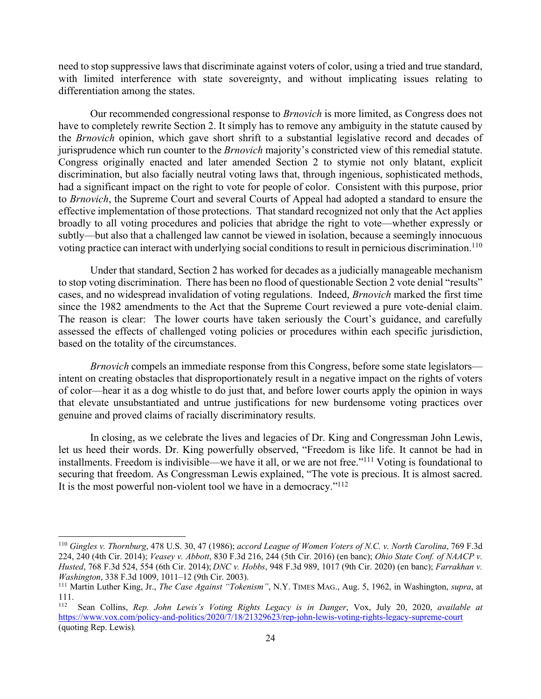need to stop suppressive laws that discriminate against voters of color, using a tried and true standard, with limited interference with state sovereignty, and without implicating issues relating to differentiation among the states.

Our recommended congressional response to *Brnovich* is more limited, as Congress does not have to completely rewrite Section 2. It simply has to remove any ambiguity in the statute caused by the *Brnovich* opinion, which gave short shrift to a substantial legislative record and decades of jurisprudence which run counter to the *Brnovich* majority's constricted view of this remedial statute. Congress originally enacted and later amended Section 2 to stymie not only blatant, explicit discrimination, but also facially neutral voting laws that, through ingenious, sophisticated methods, had a significant impact on the right to vote for people of color. Consistent with this purpose, prior to *Brnovich*, the Supreme Court and several Courts of Appeal had adopted a standard to ensure the effective implementation of those protections. That standard recognized not only that the Act applies broadly to all voting procedures and policies that abridge the right to vote—whether expressly or subtly—but also that a challenged law cannot be viewed in isolation, because a seemingly innocuous voting practice can interact with underlying social conditions to result in pernicious discrimination.<sup>110</sup>

Under that standard, Section 2 has worked for decades as a judicially manageable mechanism to stop voting discrimination. There has been no flood of questionable Section 2 vote denial "results" cases, and no widespread invalidation of voting regulations. Indeed, *Brnovich* marked the first time since the 1982 amendments to the Act that the Supreme Court reviewed a pure vote-denial claim. The reason is clear: The lower courts have taken seriously the Court's guidance, and carefully assessed the effects of challenged voting policies or procedures within each specific jurisdiction, based on the totality of the circumstances.

*Brnovich* compels an immediate response from this Congress, before some state legislators intent on creating obstacles that disproportionately result in a negative impact on the rights of voters of color—hear it as a dog whistle to do just that, and before lower courts apply the opinion in ways that elevate unsubstantiated and untrue justifications for new burdensome voting practices over genuine and proved claims of racially discriminatory results.

In closing, as we celebrate the lives and legacies of Dr. King and Congressman John Lewis, let us heed their words. Dr. King powerfully observed, "Freedom is like life. It cannot be had in installments. Freedom is indivisible—we have it all, or we are not free."111 Voting is foundational to securing that freedom. As Congressman Lewis explained, "The vote is precious. It is almost sacred. It is the most powerful non-violent tool we have in a democracy."112

<sup>110</sup> *Gingles v. Thornburg*, 478 U.S. 30, 47 (1986); *accord League of Women Voters of N.C. v. North Carolina*, 769 F.3d 224, 240 (4th Cir. 2014); *Veasey v. Abbott*, 830 F.3d 216, 244 (5th Cir. 2016) (en banc); *Ohio State Conf. of NAACP v. Husted*, 768 F.3d 524, 554 (6th Cir. 2014); *DNC v. Hobbs*, 948 F.3d 989, 1017 (9th Cir. 2020) (en banc); *Farrakhan v. Washington*, 338 F.3d 1009, 1011–12 (9th Cir. 2003).

<sup>111</sup> Martin Luther King, Jr., *The Case Against "Tokenism"*, N.Y. TIMES MAG., Aug. 5, 1962, in Washington, *supra*, at  $\frac{111}{112}$ .

<sup>112</sup> Sean Collins, *Rep. John Lewis's Voting Rights Legacy is in Danger*, Vox, July 20, 2020, *available at*  https://www.vox.com/policy-and-politics/2020/7/18/21329623/rep-john-lewis-voting-rights-legacy-supreme-court (quoting Rep. Lewis)*.*